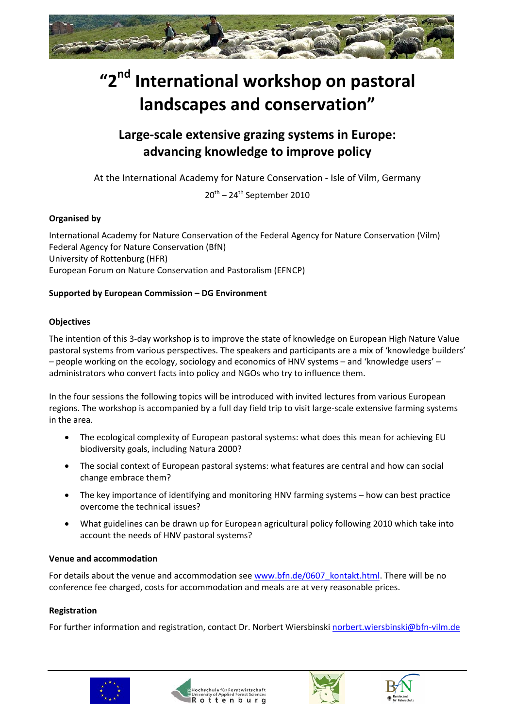

# **"2nd International workshop on pastoral landscapes and conservation"**

# **Large‐scale extensive grazing systems in Europe: advancing knowledge to improve policy**

At the International Academy for Nature Conservation ‐ Isle of Vilm, Germany

 $20^{\text{th}}$  – 24<sup>th</sup> September 2010

# **Organised by**

International Academy for Nature Conservation of the Federal Agency for Nature Conservation (Vilm) Federal Agency for Nature Conservation (BfN) University of Rottenburg (HFR) European Forum on Nature Conservation and Pastoralism (EFNCP)

#### **Supported by European Commission – DG Environment**

#### **Objectives**

The intention of this 3‐day workshop is to improve the state of knowledge on European High Nature Value pastoral systems from various perspectives. The speakers and participants are a mix of 'knowledge builders' – people working on the ecology, sociology and economics of HNV systems – and 'knowledge users' – administrators who convert facts into policy and NGOs who try to influence them.

In the four sessions the following topics will be introduced with invited lectures from various European regions. The workshop is accompanied by a full day field trip to visit large‐scale extensive farming systems in the area.

- The ecological complexity of European pastoral systems: what does this mean for achieving EU biodiversity goals, including Natura 2000?
- The social context of European pastoral systems: what features are central and how can social change embrace them?
- The key importance of identifying and monitoring HNV farming systems how can best practice overcome the technical issues?
- What guidelines can be drawn up for European agricultural policy following 2010 which take into account the needs of HNV pastoral systems?

#### **Venue and accommodation**

For details about the venue and accommodation see [www.bfn.de/0607\\_kontakt.html](http://www.bfn.de/0607_kontakt.html). There will be no conference fee charged, costs for accommodation and meals are at very reasonable prices.

# **Registration**

For further information and registration, contact Dr. Norbert Wiersbinski [norbert.wiersbinski@bfn](mailto:norbert.wiersbinski@bfn-vilm.de)‐vilm.de







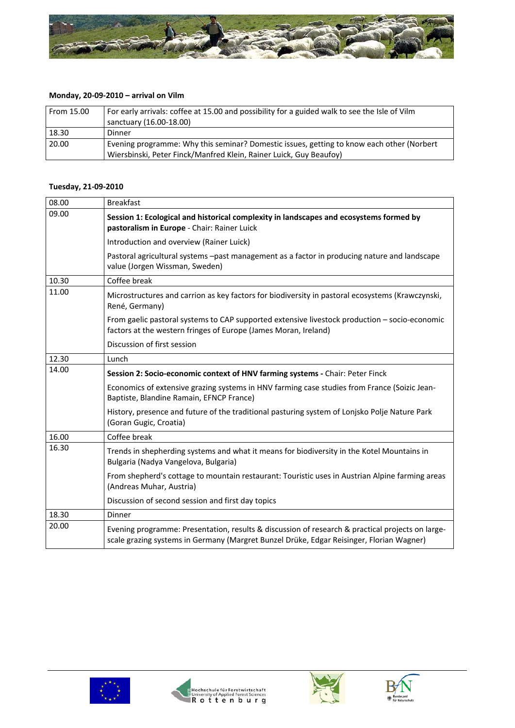

# **Monday, 20‐09‐2010 – arrival on Vilm**

| From 15.00 | For early arrivals: coffee at 15.00 and possibility for a guided walk to see the Isle of Vilm<br>sanctuary (16.00-18.00)                                        |
|------------|-----------------------------------------------------------------------------------------------------------------------------------------------------------------|
| 18.30      | Dinner                                                                                                                                                          |
| 20.00      | Evening programme: Why this seminar? Domestic issues, getting to know each other (Norbert<br>Wiersbinski, Peter Finck/Manfred Klein, Rainer Luick, Guy Beaufoy) |

#### **Tuesday, 21‐09‐2010**

| 08.00 | <b>Breakfast</b>                                                                                                                                                                             |  |  |
|-------|----------------------------------------------------------------------------------------------------------------------------------------------------------------------------------------------|--|--|
| 09.00 | Session 1: Ecological and historical complexity in landscapes and ecosystems formed by<br>pastoralism in Europe - Chair: Rainer Luick                                                        |  |  |
|       | Introduction and overview (Rainer Luick)                                                                                                                                                     |  |  |
|       | Pastoral agricultural systems -past management as a factor in producing nature and landscape<br>value (Jorgen Wissman, Sweden)                                                               |  |  |
| 10.30 | Coffee break                                                                                                                                                                                 |  |  |
| 11.00 | Microstructures and carrion as key factors for biodiversity in pastoral ecosystems (Krawczynski,<br>René, Germany)                                                                           |  |  |
|       | From gaelic pastoral systems to CAP supported extensive livestock production - socio-economic<br>factors at the western fringes of Europe (James Moran, Ireland)                             |  |  |
|       | Discussion of first session                                                                                                                                                                  |  |  |
| 12.30 | Lunch                                                                                                                                                                                        |  |  |
| 14.00 | Session 2: Socio-economic context of HNV farming systems - Chair: Peter Finck                                                                                                                |  |  |
|       | Economics of extensive grazing systems in HNV farming case studies from France (Soizic Jean-<br>Baptiste, Blandine Ramain, EFNCP France)                                                     |  |  |
|       | History, presence and future of the traditional pasturing system of Lonjsko Polje Nature Park<br>(Goran Gugic, Croatia)                                                                      |  |  |
| 16.00 | Coffee break                                                                                                                                                                                 |  |  |
| 16.30 | Trends in shepherding systems and what it means for biodiversity in the Kotel Mountains in<br>Bulgaria (Nadya Vangelova, Bulgaria)                                                           |  |  |
|       | From shepherd's cottage to mountain restaurant: Touristic uses in Austrian Alpine farming areas<br>(Andreas Muhar, Austria)                                                                  |  |  |
|       | Discussion of second session and first day topics                                                                                                                                            |  |  |
| 18.30 | Dinner                                                                                                                                                                                       |  |  |
| 20.00 | Evening programme: Presentation, results & discussion of research & practical projects on large-<br>scale grazing systems in Germany (Margret Bunzel Drüke, Edgar Reisinger, Florian Wagner) |  |  |